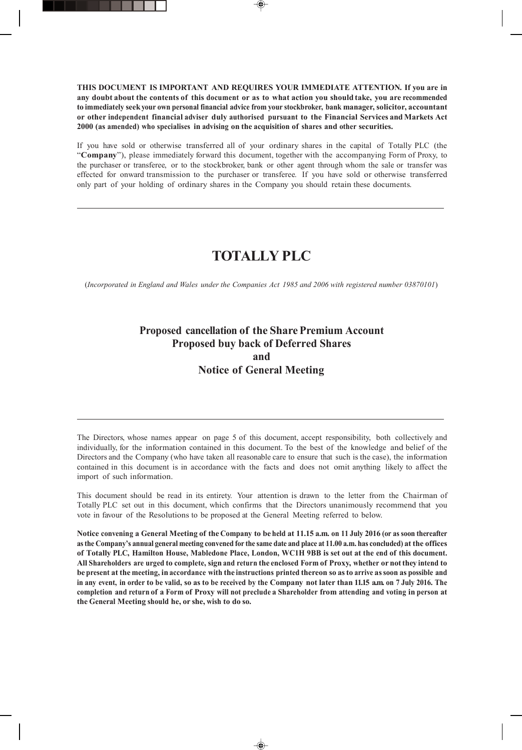**THIS DOCUMENT IS IMPORTANT AND REQUIRES YOUR IMMEDIATE ATTENTION. If you are in** any doubt about the contents of this document or as to what action you should take, you are recommended **to immediately seekyour own personal financial advice from your stockbroker, bank manager, solicitor, accountant or other independent financial adviser duly authorised pursuant to the Financial Services and Markets Act 2000 (as amended) who specialises in advising on the acquisition of shares and other securities.**

If you have sold or otherwise transferred all of your ordinary shares in the capital of Totally PLC (the "**Company**"), please immediately forward this document, together with the accompanying Form of Proxy, to the purchaser or transferee, or to the stockbroker, bank or other agent through whom the sale or transfer was effected for onward transmission to the purchaser or transferee. If you have sold or otherwise transferred only part of your holding of ordinary shares in the Company you should retain these documents.

# **TOTALLY PLC**

(*Incorporated in England and Wales under the Companies Act 1985 and 2006 with registered number 03870101*)

## **Proposed cancellation of the Share Premium Account Proposed buy back of Deferred Shares and Notice of General Meeting**

The Directors, whose names appear on page 5 of this document, accept responsibility, both collectively and individually, for the information contained in this document. To the best of the knowledge and belief of the Directors and the Company (who have taken all reasonable care to ensure that such is the case), the information contained in this document is in accordance with the facts and does not omit anything likely to affect the import of such information.

This document should be read in its entirety. Your attention is drawn to the letter from the Chairman of Totally PLC set out in this document, which confirms that the Directors unanimously recommend that you vote in favour of the Resolutions to be proposed at the General Meeting referred to below.

Notice convening a General Meeting of the Company to be held at 11.15 a.m. on 11 July 2016 (or as soon thereafter **as the Company's annual general meeting convened for the same date and place at 11.00 a.m. has concluded) at the offices of Totally PLC, Hamilton House, Mabledone Place, London, WC1H 9BB is set out at the end of this document.** All Shareholders are urged to complete, sign and return the enclosed Form of Proxy, whether or not they intend to be present at the meeting, in accordance with the instructions printed thereon so as to arrive as soon as possible and in any event, in order to be valid, so as to be received by the Company not later than 11.15 a.m. on 7 July 2016. The completion and return of a Form of Proxy will not preclude a Shareholder from attending and voting in person at **the General Meeting should he, or she, wish to do so.**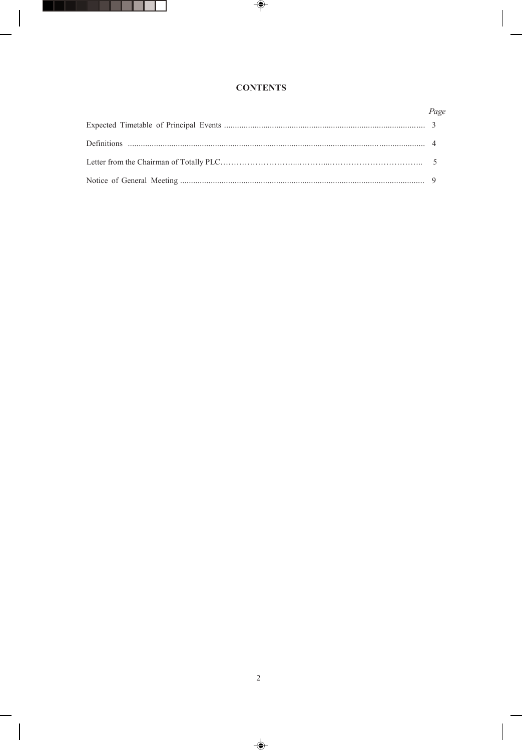## **CONTENTS**

| Page |
|------|
|      |
|      |
|      |
|      |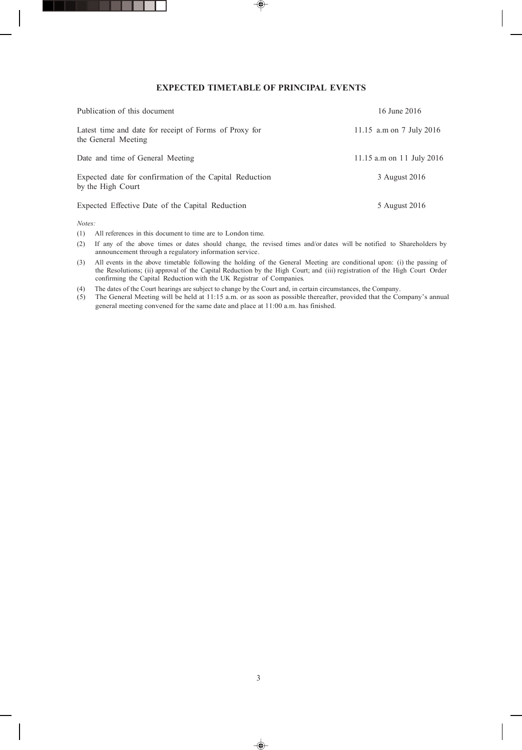### **EXPECTED TIMETABLE OF PRINCIPAL EVENTS**

| Publication of this document                                                  | 16 June 2016              |
|-------------------------------------------------------------------------------|---------------------------|
| Latest time and date for receipt of Forms of Proxy for<br>the General Meeting | 11.15 a.m on 7 July 2016  |
| Date and time of General Meeting                                              | 11.15 a.m on 11 July 2016 |
| Expected date for confirmation of the Capital Reduction<br>by the High Court  | 3 August 2016             |
| Expected Effective Date of the Capital Reduction                              | 5 August 2016             |

*Notes:*

(1) All references in this document to time are to London time.

- (2) If any of the above times or dates should change, the revised times and/or dates will be notified to Shareholders by announcement through a regulatory information service.
- (3) All events in the above timetable following the holding of the General Meeting are conditional upon: (i) the passing of the Resolutions; (ii) approval of the Capital Reduction by the High Court; and (iii) registration of the High Court Order confirming the Capital Reduction with the UK Registrar of Companies.
- (4) The dates of the Court hearings are subject to change by the Court and, in certain circumstances, the Company.
- (5) The General Meeting will be held at 11:15 a.m. or as soon as possible thereafter, provided that the Company's annual general meeting convened for the same date and place at 11:00 a.m. has finished.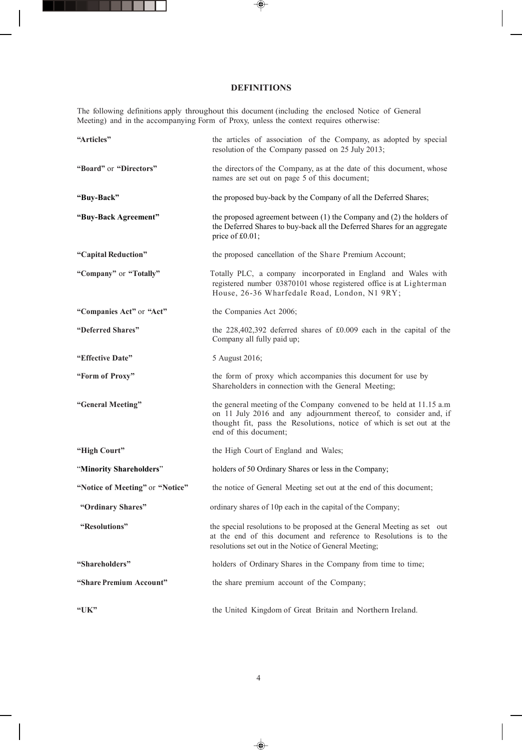## **DEFINITIONS**

The following definitions apply throughout this document (including the enclosed Notice of General Meeting) and in the accompanying Form of Proxy, unless the context requires otherwise:

| "Articles"                      | the articles of association of the Company, as adopted by special<br>resolution of the Company passed on 25 July 2013;                                                                                                                   |
|---------------------------------|------------------------------------------------------------------------------------------------------------------------------------------------------------------------------------------------------------------------------------------|
| "Board" or "Directors"          | the directors of the Company, as at the date of this document, whose<br>names are set out on page 5 of this document;                                                                                                                    |
| "Buy-Back"                      | the proposed buy-back by the Company of all the Deferred Shares;                                                                                                                                                                         |
| "Buy-Back Agreement"            | the proposed agreement between $(1)$ the Company and $(2)$ the holders of<br>the Deferred Shares to buy-back all the Deferred Shares for an aggregate<br>price of £0.01;                                                                 |
| "Capital Reduction"             | the proposed cancellation of the Share Premium Account;                                                                                                                                                                                  |
| "Company" or "Totally"          | Totally PLC, a company incorporated in England and Wales with<br>registered number 03870101 whose registered office is at Lighterman<br>House, 26-36 Wharfedale Road, London, N1 9RY;                                                    |
| "Companies Act" or "Act"        | the Companies Act 2006;                                                                                                                                                                                                                  |
| "Deferred Shares"               | the $228,402,392$ deferred shares of $£0.009$ each in the capital of the<br>Company all fully paid up;                                                                                                                                   |
| "Effective Date"                | 5 August 2016;                                                                                                                                                                                                                           |
| "Form of Proxy"                 | the form of proxy which accompanies this document for use by<br>Shareholders in connection with the General Meeting;                                                                                                                     |
| "General Meeting"               | the general meeting of the Company convened to be held at 11.15 a.m<br>on 11 July 2016 and any adjournment thereof, to consider and, if<br>thought fit, pass the Resolutions, notice of which is set out at the<br>end of this document; |
| "High Court"                    | the High Court of England and Wales;                                                                                                                                                                                                     |
| "Minority Shareholders"         | holders of 50 Ordinary Shares or less in the Company;                                                                                                                                                                                    |
| "Notice of Meeting" or "Notice" | the notice of General Meeting set out at the end of this document;                                                                                                                                                                       |
| "Ordinary Shares"               | ordinary shares of 10p each in the capital of the Company;                                                                                                                                                                               |
| "Resolutions"                   | the special resolutions to be proposed at the General Meeting as set out<br>at the end of this document and reference to Resolutions is to the<br>resolutions set out in the Notice of General Meeting;                                  |
| "Shareholders"                  | holders of Ordinary Shares in the Company from time to time;                                                                                                                                                                             |
| "Share Premium Account"         | the share premium account of the Company;                                                                                                                                                                                                |
| " $UK"$                         | the United Kingdom of Great Britain and Northern Ireland.                                                                                                                                                                                |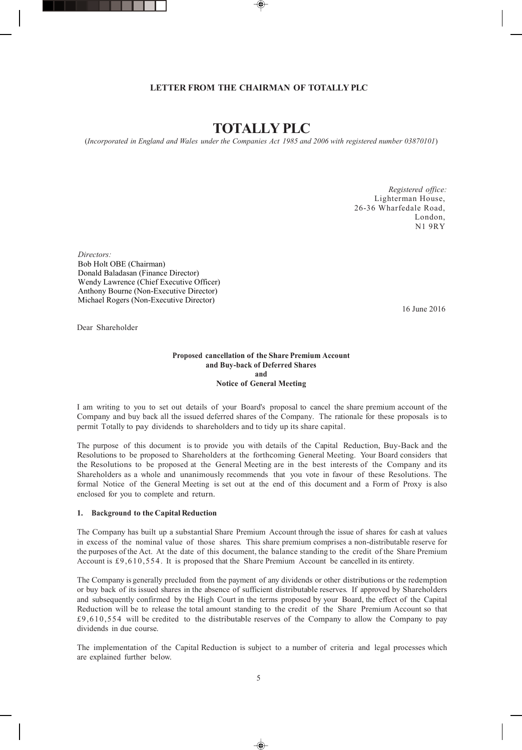## **LETTER FROM THE CHAIRMAN OF TOTALLY PLC**

## **TOTALLY PLC**

(*Incorporated in England and Wales under the Companies Act 1985 and 2006 with registered number 03870101*)

 *Registered office:* Lighterman House, 26-36 Wharfedale Road, London, N1 9RY

*Directors:* Bob Holt OBE (Chairman) Donald Baladasan (Finance Director) Wendy Lawrence (Chief Executive Officer) Anthony Bourne (Non-Executive Director) Michael Rogers (Non-Executive Director)

16 June 2016

Dear Shareholder

#### **Proposed cancellation of the Share Premium Account and Buy-back of Deferred Shares and Notice of General Meeting**

I am writing to you to set out details of your Board's proposal to cancel the share premium account of the Company and buy back all the issued deferred shares of the Company. The rationale for these proposals is to permit Totally to pay dividends to shareholders and to tidy up its share capital.

The purpose of this document is to provide you with details of the Capital Reduction, Buy-Back and the Resolutions to be proposed to Shareholders at the forthcoming General Meeting. Your Board considers that the Resolutions to be proposed at the General Meeting are in the best interests of the Company and its Shareholders as a whole and unanimously recommends that you vote in favour of these Resolutions. The formal Notice of the General Meeting is set out at the end of this document and a Form of Proxy is also enclosed for you to complete and return.

#### **1. Background to the Capital Reduction**

The Company has built up a substantial Share Premium Account through the issue of shares for cash at values in excess of the nominal value of those shares. This share premium comprises a non-distributable reserve for the purposes of the Act. At the date of this document, the balance standing to the credit of the Share Premium Account is £9,610,554 . It is proposed that the Share Premium Account be cancelled in its entirety.

The Company is generally precluded from the payment of any dividends or other distributions or the redemption or buy back of its issued shares in the absence of sufficient distributable reserves. If approved by Shareholders and subsequently confirmed by the High Court in the terms proposed by your Board, the effect of the Capital Reduction will be to release the total amount standing to the credit of the Share Premium Account so that £9,610,554 will be credited to the distributable reserves of the Company to allow the Company to pay dividends in due course.

The implementation of the Capital Reduction is subject to a number of criteria and legal processes which are explained further below.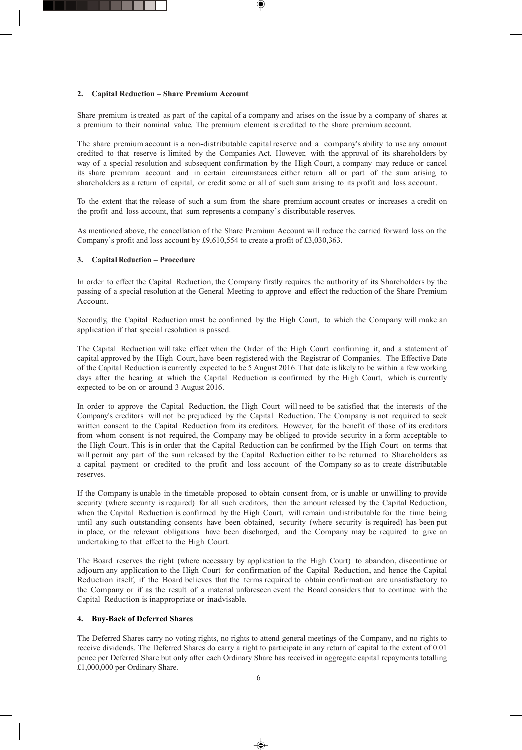### **2. Capital Reduction – Share Premium Account**

Share premium is treated as part of the capital of a company and arises on the issue by a company of shares at a premium to their nominal value. The premium element is credited to the share premium account.

The share premium account is a non-distributable capital reserve and a company's ability to use any amount credited to that reserve is limited by the Companies Act. However, with the approval of its shareholders by way of a special resolution and subsequent confirmation by the High Court, a company may reduce or cancel its share premium account and in certain circumstances either return all or part of the sum arising to shareholders as a return of capital, or credit some or all of such sum arising to its profit and loss account.

To the extent that the release of such a sum from the share premium account creates or increases a credit on the profit and loss account, that sum represents a company's distributable reserves.

As mentioned above, the cancellation of the Share Premium Account will reduce the carried forward loss on the Company's profit and loss account by £9,610,554 to create a profit of £3,030,363.

### **3. Capital Reduction – Procedure**

In order to effect the Capital Reduction, the Company firstly requires the authority of its Shareholders by the passing of a special resolution at the General Meeting to approve and effect the reduction of the Share Premium Account.

Secondly, the Capital Reduction must be confirmed by the High Court, to which the Company will make an application if that special resolution is passed.

The Capital Reduction will take effect when the Order of the High Court confirming it, and a statement of capital approved by the High Court, have been registered with the Registrar of Companies. The Effective Date of the Capital Reduction is currently expected to be 5 August 2016. That date islikely to be within a few working days after the hearing at which the Capital Reduction is confirmed by the High Court, which is currently expected to be on or around 3 August 2016.

In order to approve the Capital Reduction, the High Court will need to be satisfied that the interests of the Company's creditors will not be prejudiced by the Capital Reduction. The Company is not required to seek written consent to the Capital Reduction from its creditors. However, for the benefit of those of its creditors from whom consent is not required, the Company may be obliged to provide security in a form acceptable to the High Court. This is in order that the Capital Reduction can be confirmed by the High Court on terms that will permit any part of the sum released by the Capital Reduction either to be returned to Shareholders as a capital payment or credited to the profit and loss account of the Company so as to create distributable reserves.

If the Company is unable in the timetable proposed to obtain consent from, or is unable or unwilling to provide security (where security is required) for all such creditors, then the amount released by the Capital Reduction, when the Capital Reduction is confirmed by the High Court, will remain undistributable for the time being until any such outstanding consents have been obtained, security (where security is required) has been put in place, or the relevant obligations have been discharged, and the Company may be required to give an undertaking to that effect to the High Court.

The Board reserves the right (where necessary by application to the High Court) to abandon, discontinue or adjourn any application to the High Court for confirmation of the Capital Reduction, and hence the Capital Reduction itself, if the Board believes that the terms required to obtain confirmation are unsatisfactory to the Company or if as the result of a material unforeseen event the Board considers that to continue with the Capital Reduction is inappropriate or inadvisable.

#### **4. Buy-Back of Deferred Shares**

The Deferred Shares carry no voting rights, no rights to attend general meetings of the Company, and no rights to receive dividends. The Deferred Shares do carry a right to participate in any return of capital to the extent of 0.01 pence per Deferred Share but only after each Ordinary Share has received in aggregate capital repayments totalling £1,000,000 per Ordinary Share.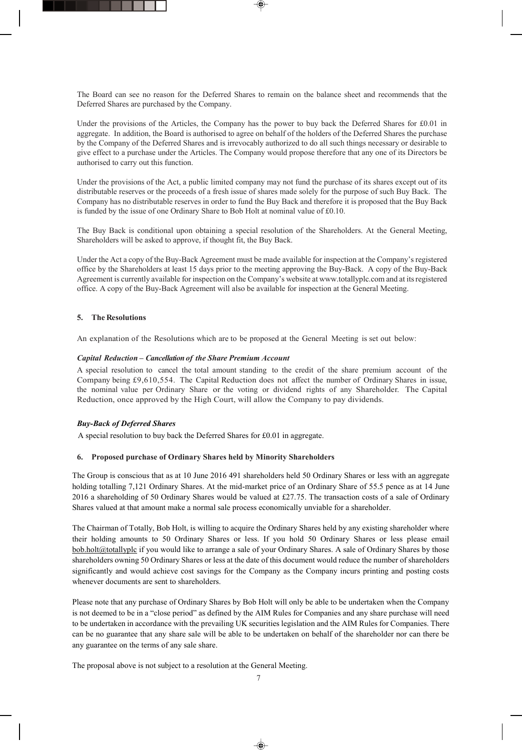The Board can see no reason for the Deferred Shares to remain on the balance sheet and recommends that the Deferred Shares are purchased by the Company.

Under the provisions of the Articles, the Company has the power to buy back the Deferred Shares for £0.01 in aggregate. In addition, the Board is authorised to agree on behalf of the holders of the Deferred Shares the purchase by the Company of the Deferred Shares and is irrevocably authorized to do all such things necessary or desirable to give effect to a purchase under the Articles. The Company would propose therefore that any one of its Directors be authorised to carry out this function.

Under the provisions of the Act, a public limited company may not fund the purchase of its shares except out of its distributable reserves or the proceeds of a fresh issue of shares made solely for the purpose of such Buy Back. The Company has no distributable reserves in order to fund the Buy Back and therefore it is proposed that the Buy Back is funded by the issue of one Ordinary Share to Bob Holt at nominal value of £0.10.

The Buy Back is conditional upon obtaining a special resolution of the Shareholders. At the General Meeting, Shareholders will be asked to approve, if thought fit, the Buy Back.

Under the Act a copy of the Buy-Back Agreement must be made available for inspection at the Company's registered office by the Shareholders at least 15 days prior to the meeting approving the Buy-Back. A copy of the Buy-Back Agreement is currently available for inspection on the Company's website at www.totallyplc.com and at its registered office. A copy of the Buy-Back Agreement will also be available for inspection at the General Meeting.

### **5. The Resolutions**

An explanation of the Resolutions which are to be proposed at the General Meeting is set out below:

### *Capital Reduction – Cancellation of the Share Premium Account*

A special resolution to cancel the total amount standing to the credit of the share premium account of the Company being £9,610,554. The Capital Reduction does not affect the number of Ordinary Shares in issue, the nominal value per Ordinary Share or the voting or dividend rights of any Shareholder. The Capital Reduction, once approved by the High Court, will allow the Company to pay dividends.

## *Buy-Back of Deferred Shares*

A special resolution to buy back the Deferred Shares for £0.01 in aggregate.

#### **6. Proposed purchase of Ordinary Shares held by Minority Shareholders**

The Group is conscious that as at 10 June 2016 491 shareholders held 50 Ordinary Shares or less with an aggregate holding totalling 7,121 Ordinary Shares. At the mid-market price of an Ordinary Share of 55.5 pence as at 14 June 2016 a shareholding of 50 Ordinary Shares would be valued at £27.75. The transaction costs of a sale of Ordinary Shares valued at that amount make a normal sale process economically unviable for a shareholder.

The Chairman of Totally, Bob Holt, is willing to acquire the Ordinary Shares held by any existing shareholder where their holding amounts to 50 Ordinary Shares or less. If you hold 50 Ordinary Shares or less please email [bob.holt@totallyplc](javascript:_e(%7B%7D,) if you would like to arrange a sale of your Ordinary Shares. A sale of Ordinary Shares by those shareholders owning 50 Ordinary Shares or less at the date of this document would reduce the number of shareholders significantly and would achieve cost savings for the Company as the Company incurs printing and posting costs whenever documents are sent to shareholders.

Please note that any purchase of Ordinary Shares by Bob Holt will only be able to be undertaken when the Company is not deemed to be in a "close period" as defined by the AIM Rules for Companies and any share purchase will need to be undertaken in accordance with the prevailing UK securities legislation and the AIM Rules for Companies. There can be no guarantee that any share sale will be able to be undertaken on behalf of the shareholder nor can there be any guarantee on the terms of any sale share.

The proposal above is not subject to a resolution at the General Meeting.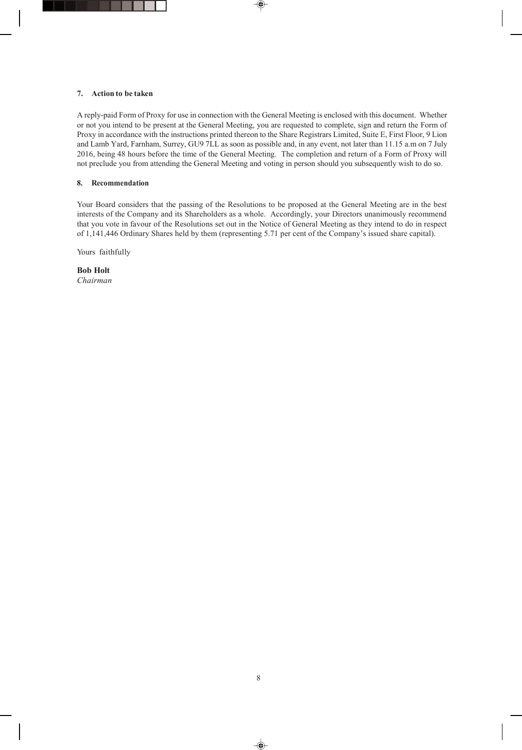### **7. Action to be taken**

A reply-paid Form of Proxy for use in connection with the General Meeting is enclosed with this document. Whether or not you intend to be present at the General Meeting, you are requested to complete, sign and return the Form of Proxy in accordance with the instructions printed thereon to the Share Registrars Limited, Suite E, First Floor, 9 Lion and Lamb Yard, Farnham, Surrey, GU9 7LL as soon as possible and, in any event, not later than 11.15 a.m on 7 July 2016, being 48 hours before the time of the General Meeting. The completion and return of a Form of Proxy will not preclude you from attending the General Meeting and voting in person should you subsequently wish to do so.

#### **8. Recommendation**

Your Board considers that the passing of the Resolutions to be proposed at the General Meeting are in the best interests of the Company and its Shareholders as a whole. Accordingly, your Directors unanimously recommend that you vote in favour of the Resolutions set out in the Notice of General Meeting as they intend to do in respect of 1,141,446 Ordinary Shares held by them (representing 5.71 per cent of the Company's issued share capital).

Yours faithfully

**Bob Holt** *Chairman*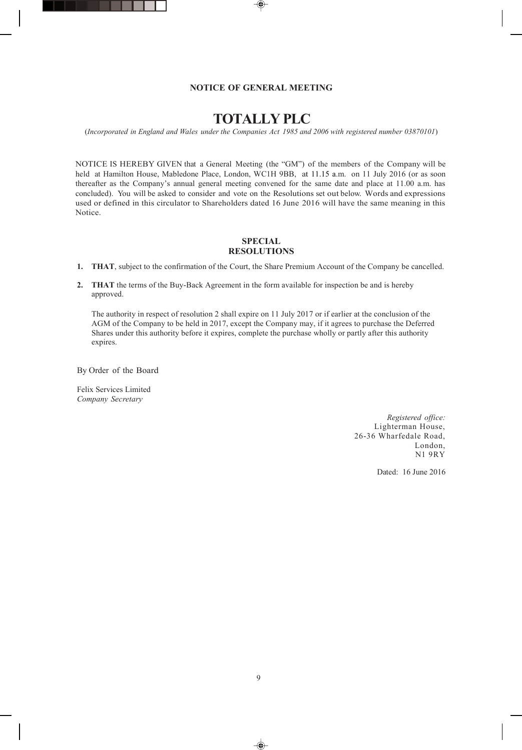#### **NOTICE OF GENERAL MEETING**

## **TOTALLY PLC**

(*Incorporated in England and Wales under the Companies Act 1985 and 2006 with registered number 03870101*)

NOTICE IS HEREBY GIVEN that a General Meeting (the "GM") of the members of the Company will be held at Hamilton House, Mabledone Place, London, WC1H 9BB, at 11.15 a.m. on 11 July 2016 (or as soon thereafter as the Company's annual general meeting convened for the same date and place at 11.00 a.m. has concluded). You will be asked to consider and vote on the Resolutions set out below. Words and expressions used or defined in this circulator to Shareholders dated 16 June 2016 will have the same meaning in this Notice.

## **SPECIAL RESOLUTIONS**

- **1. THAT**, subject to the confirmation of the Court, the Share Premium Account of the Company be cancelled.
- **2. THAT** the terms of the Buy-Back Agreement in the form available for inspection be and is hereby approved.

The authority in respect of resolution 2 shall expire on 11 July 2017 or if earlier at the conclusion of the AGM of the Company to be held in 2017, except the Company may, if it agrees to purchase the Deferred Shares under this authority before it expires, complete the purchase wholly or partly after this authority expires.

By Order of the Board

Felix Services Limited *Company Secretary*

> *Registered office:* Lighterman House, 26-36 Wharfedale Road, London, N1 9RY

> > Dated: 16 June 2016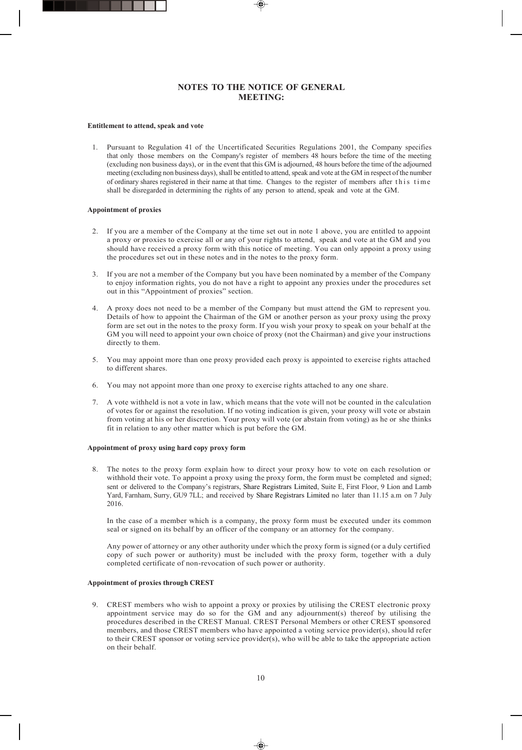## **NOTES TO THE NOTICE OF GENERAL MEETING:**

#### **Entitlement to attend, speak and vote**

1. Pursuant to Regulation 41 of the Uncertificated Securities Regulations 2001, the Company specifies that only those members on the Company's register of members 48 hours before the time of the meeting (excluding non business days), or in the event that this GM is adjourned, 48 hours before the time of the adjourned meeting (excluding non business days), shall be entitled to attend, speak and vote at the GM in respect of the number of ordinary shares registered in their name at that time. Changes to the register of members after this time shall be disregarded in determining the rights of any person to attend, speak and vote at the GM.

#### **Appointment of proxies**

- 2. If you are a member of the Company at the time set out in note 1 above, you are entitled to appoint a proxy or proxies to exercise all or any of your rights to attend, speak and vote at the GM and you should have received a proxy form with this notice of meeting. You can only appoint a proxy using the procedures set out in these notes and in the notes to the proxy form.
- 3. If you are not a member of the Company but you have been nominated by a member of the Company to enjoy information rights, you do not have a right to appoint any proxies under the procedures set out in this "Appointment of proxies" section.
- 4. A proxy does not need to be a member of the Company but must attend the GM to represent you. Details of how to appoint the Chairman of the GM or another person as your proxy using the proxy form are set out in the notes to the proxy form. If you wish your proxy to speak on your behalf at the GM you will need to appoint your own choice of proxy (not the Chairman) and give your instructions directly to them.
- 5. You may appoint more than one proxy provided each proxy is appointed to exercise rights attached to different shares.
- 6. You may not appoint more than one proxy to exercise rights attached to any one share.
- 7. A vote withheld is not a vote in law, which means that the vote will not be counted in the calculation of votes for or against the resolution. If no voting indication is given, your proxy will vote or abstain from voting at his or her discretion. Your proxy will vote (or abstain from voting) as he or she thinks fit in relation to any other matter which is put before the GM.

#### **Appointment of proxy using hard copy proxy form**

8. The notes to the proxy form explain how to direct your proxy how to vote on each resolution or withhold their vote. To appoint a proxy using the proxy form, the form must be completed and signed; sent or delivered to the Company's registrars, Share Registrars Limited, Suite E, First Floor, 9 Lion and Lamb Yard, Farnham, Surry, GU9 7LL; and received by Share Registrars Limited no later than 11.15 a.m on 7 July 2016.

In the case of a member which is a company, the proxy form must be executed under its common seal or signed on its behalf by an officer of the company or an attorney for the company.

Any power of attorney or any other authority under which the proxy form is signed (or a duly certified copy of such power or authority) must be included with the proxy form, together with a duly completed certificate of non-revocation of such power or authority.

#### **Appointment of proxies through CREST**

9. CREST members who wish to appoint a proxy or proxies by utilising the CREST electronic proxy appointment service may do so for the GM and any adjournment(s) thereof by utilising the procedures described in the CREST Manual. CREST Personal Members or other CREST sponsored members, and those CREST members who have appointed a voting service provider(s), shou ld refer to their CREST sponsor or voting service provider(s), who will be able to take the appropriate action on their behalf.